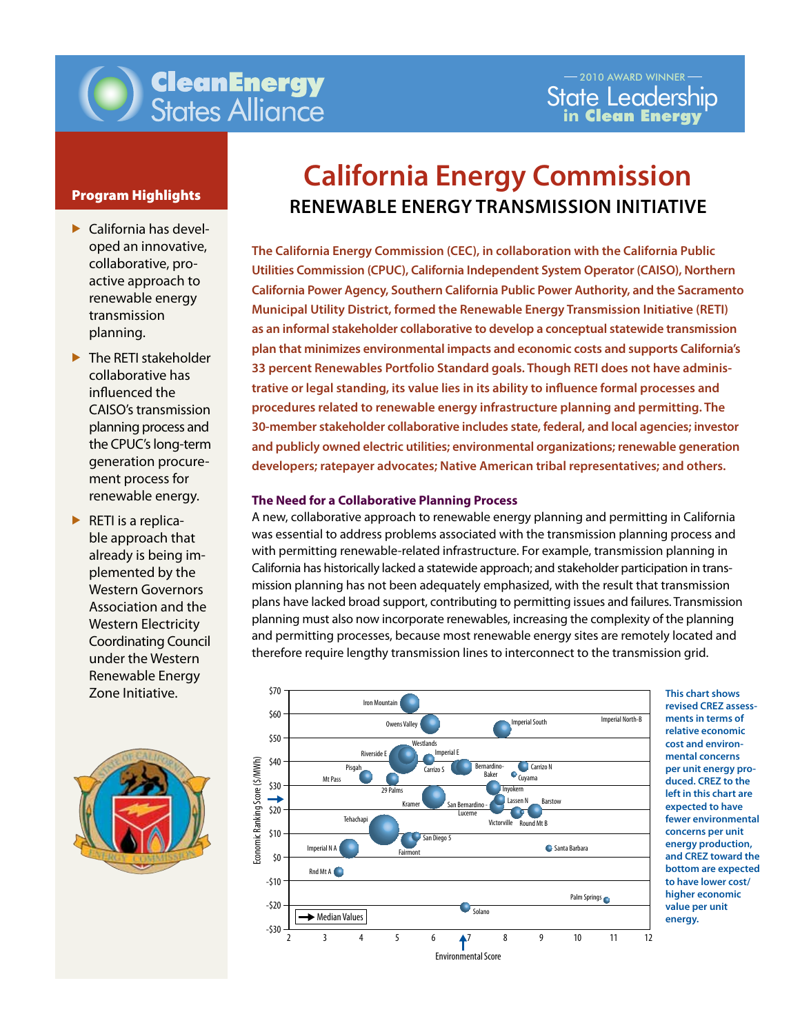

- $\blacktriangleright$  California has developed an innovative, collaborative, proactive approach to renewable energy transmission planning.
- $\blacktriangleright$  The RETI stakeholder collaborative has influenced the CAISO's transmission planning process and the CPUC's long-term generation procurement process for renewable energy.
- $\blacktriangleright$  RETI is a replicable approach that already is being implemented by the Western Governors Association and the Western Electricity Coordinating Council under the Western Renewable Energy Zone Initiative.



# **California Energy Commission Program Highlights RENEWABLE ENERGY TRANSMISSION INITIATIVE**

30-member stakeholder collaborative includes state, federal, and local agencies; investor<br> **The California Energy Commission (CEC), in collaboration with the California Public Utilities Commission (CPUC), California Independent System Operator (CAISO), Northern California Power Agency, Southern California Public Power Authority, and the Sacramento Municipal Utility District, formed the Renewable Energy Transmission Initiative (RETI) as an informal stakeholder collaborative to develop a conceptual statewide transmission plan that minimizes environmental impacts and economic costs and supports California's 33 percent Renewables Portfolio Standard goals. Though RETI does not have administrative or legal standing, its value lies in its ability to influence formal processes and procedures related to renewable energy infrastructure planning and permitting. The and publicly owned electric utilities; environmental organizations; renewable generation developers; ratepayer advocates; Native American tribal representatives; and others.** 

#### **The Need for a Collaborative Planning Process**

A new, collaborative approach to renewable energy planning and permitting in California was essential to address problems associated with the transmission planning process and with permitting renewable-related infrastructure. For example, transmission planning in California has historically lacked a statewide approach; and stakeholder participation in transmission planning has not been adequately emphasized, with the result that transmission plans have lacked broad support, contributing to permitting issues and failures. Transmission planning must also now incorporate renewables, increasing the complexity of the planning and permitting processes, because most renewable energy sites are remotely located and therefore require lengthy transmission lines to interconnect to the transmission grid.



**This chart shows revised CREZ assessments in terms of relative economic cost and environmental concerns per unit energy produced. CREZ to the left in this chart are expected to have fewer environmental concerns per unit energy production, and CREZ toward the bottom are expected to have lower cost/ higher economic value per unit energy.**